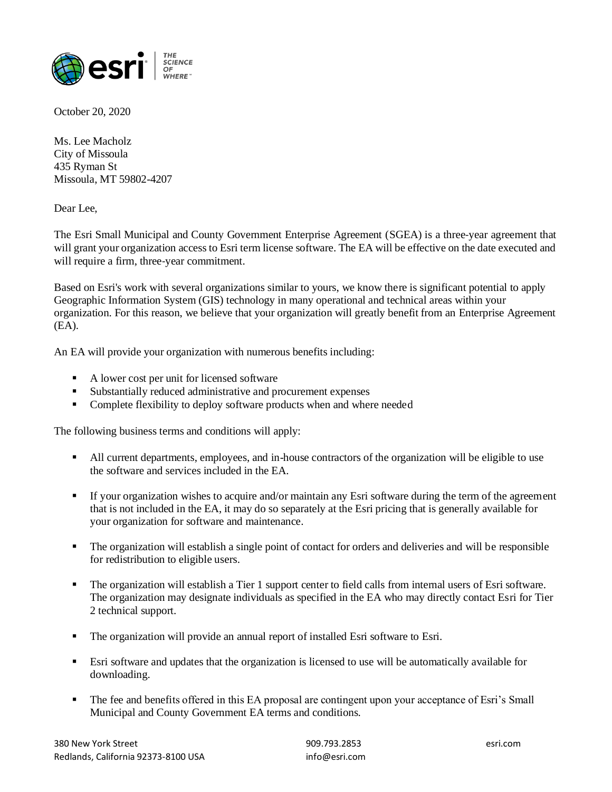

October 20, 2020

Ms. Lee Macholz City of Missoula 435 Ryman St Missoula, MT 59802-4207

Dear Lee,

The Esri Small Municipal and County Government Enterprise Agreement (SGEA) is a three‐year agreement that will grant your organization access to Esri term license software. The EA will be effective on the date executed and will require a firm, three-year commitment.

Based on Esri's work with several organizations similar to yours, we know there is significant potential to apply Geographic Information System (GIS) technology in many operational and technical areas within your organization. For this reason, we believe that your organization will greatly benefit from an Enterprise Agreement (EA).

An EA will provide your organization with numerous benefits including:

- A lower cost per unit for licensed software
- Substantially reduced administrative and procurement expenses
- Complete flexibility to deploy software products when and where needed

The following business terms and conditions will apply:

- All current departments, employees, and in-house contractors of the organization will be eligible to use the software and services included in the EA.
- If your organization wishes to acquire and/or maintain any Esri software during the term of the agreement that is not included in the EA, it may do so separately at the Esri pricing that is generally available for your organization for software and maintenance.
- The organization will establish a single point of contact for orders and deliveries and will be responsible for redistribution to eligible users.
- The organization will establish a Tier 1 support center to field calls from internal users of Esri software. The organization may designate individuals as specified in the EA who may directly contact Esri for Tier 2 technical support.
- The organization will provide an annual report of installed Esri software to Esri.
- Esri software and updates that the organization is licensed to use will be automatically available for downloading.
- The fee and benefits offered in this EA proposal are contingent upon your acceptance of Esri's Small Municipal and County Government EA terms and conditions.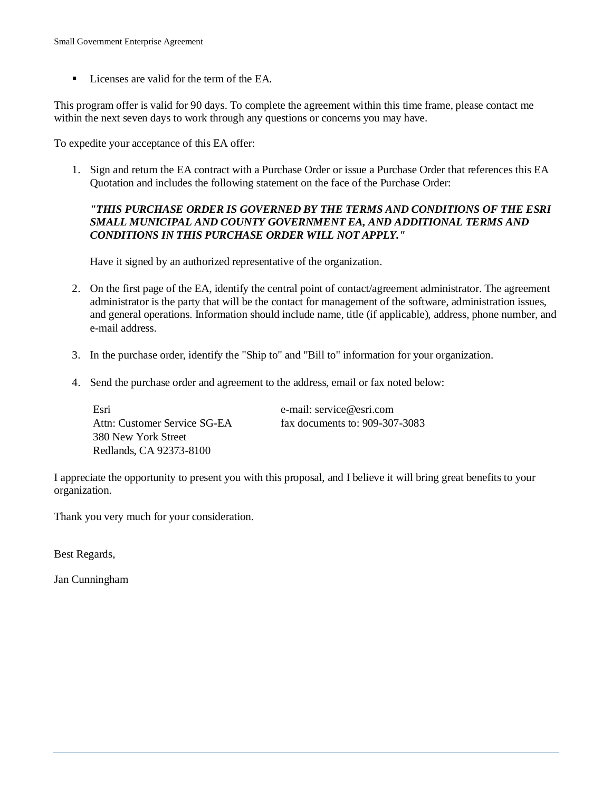■ Licenses are valid for the term of the EA.

This program offer is valid for 90 days. To complete the agreement within this time frame, please contact me within the next seven days to work through any questions or concerns you may have.

To expedite your acceptance of this EA offer:

1. Sign and return the EA contract with a Purchase Order or issue a Purchase Order that references this EA Quotation and includes the following statement on the face of the Purchase Order:

### *"THIS PURCHASE ORDER IS GOVERNED BY THE TERMS AND CONDITIONS OF THE ESRI SMALL MUNICIPAL AND COUNTY GOVERNMENT EA, AND ADDITIONAL TERMS AND CONDITIONS IN THIS PURCHASE ORDER WILL NOT APPLY."*

Have it signed by an authorized representative of the organization.

- 2. On the first page of the EA, identify the central point of contact/agreement administrator. The agreement administrator is the party that will be the contact for management of the software, administration issues, and general operations. Information should include name, title (if applicable), address, phone number, and e-mail address.
- 3. In the purchase order, identify the "Ship to" and "Bill to" information for your organization.
- 4. Send the purchase order and agreement to the address, email or fax noted below:

| Esri                         | e-mail: service@esri.com       |
|------------------------------|--------------------------------|
| Attn: Customer Service SG-EA | fax documents to: 909-307-3083 |
| 380 New York Street          |                                |
| Redlands, CA 92373-8100      |                                |

I appreciate the opportunity to present you with this proposal, and I believe it will bring great benefits to your organization.

Thank you very much for your consideration.

Best Regards,

Jan Cunningham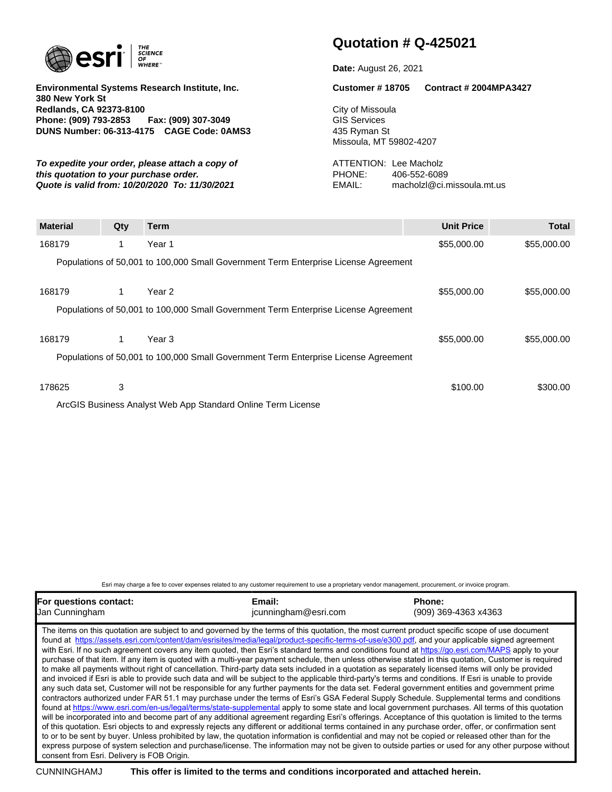

**Environmental Systems Research Institute, Inc. 380 New York St Redlands, CA 92373-8100 Phone: (909) 793-2853 Fax: (909) 307-3049 DUNS Number: 06-313-4175 CAGE Code: 0AMS3**

**To expedite your order, please attach a copy of THENTION: Lee Macholz this quotation to your purchase order.** PHONE: 406-552-6089 **Quote is valid from: 10/20/2020 To: 11/30/2021** EMAIL: macholzl@ci.missoula.mt.us

# **Quotation # Q-425021**

**Date:** August 26, 2021

**Customer # 18705 Contract # 2004MPA3427**

City of Missoula GIS Services 435 Ryman St Missoula, MT 59802-4207

| <b>Material</b> | Qty | <b>Term</b>                                                                         | <b>Unit Price</b> | <b>Total</b> |
|-----------------|-----|-------------------------------------------------------------------------------------|-------------------|--------------|
| 168179          | 1.  | Year 1                                                                              | \$55,000.00       | \$55,000.00  |
|                 |     | Populations of 50,001 to 100,000 Small Government Term Enterprise License Agreement |                   |              |
| 168179          | 1.  | Year 2                                                                              | \$55,000.00       | \$55,000.00  |
|                 |     | Populations of 50,001 to 100,000 Small Government Term Enterprise License Agreement |                   |              |
| 168179          | 1.  | Year 3                                                                              | \$55,000.00       | \$55,000.00  |
|                 |     | Populations of 50,001 to 100,000 Small Government Term Enterprise License Agreement |                   |              |
| 178625          | 3   |                                                                                     | \$100.00          | \$300.00     |
|                 |     | ArcGIS Business Analyst Web App Standard Online Term License                        |                   |              |

Esri may charge a fee to cover expenses related to any customer requirement to use a proprietary vendor management, procurement, or invoice program.

| For questions contact:                                                                                                                                                                                                                                                                                                                                                                                                                                                                                                                                                                                                                                                                                                                                                                                                                                                                                                                                                                                                                                                                                                                                                                                                                                                                                                                                                                                                                                                                                                                                                                                                                                                                                                                                                                                                                                                                                                                                                                                                                                                        | Email:               | Phone:               |
|-------------------------------------------------------------------------------------------------------------------------------------------------------------------------------------------------------------------------------------------------------------------------------------------------------------------------------------------------------------------------------------------------------------------------------------------------------------------------------------------------------------------------------------------------------------------------------------------------------------------------------------------------------------------------------------------------------------------------------------------------------------------------------------------------------------------------------------------------------------------------------------------------------------------------------------------------------------------------------------------------------------------------------------------------------------------------------------------------------------------------------------------------------------------------------------------------------------------------------------------------------------------------------------------------------------------------------------------------------------------------------------------------------------------------------------------------------------------------------------------------------------------------------------------------------------------------------------------------------------------------------------------------------------------------------------------------------------------------------------------------------------------------------------------------------------------------------------------------------------------------------------------------------------------------------------------------------------------------------------------------------------------------------------------------------------------------------|----------------------|----------------------|
| Jan Cunningham                                                                                                                                                                                                                                                                                                                                                                                                                                                                                                                                                                                                                                                                                                                                                                                                                                                                                                                                                                                                                                                                                                                                                                                                                                                                                                                                                                                                                                                                                                                                                                                                                                                                                                                                                                                                                                                                                                                                                                                                                                                                | jcunningham@esri.com | (909) 369-4363 x4363 |
| The items on this quotation are subject to and governed by the terms of this quotation, the most current product specific scope of use document<br>found at https://assets.esri.com/content/dam/esrisites/media/legal/product-specific-terms-of-use/e300.pdf, and your applicable signed agreement<br>with Esri. If no such agreement covers any item quoted, then Esri's standard terms and conditions found at https://go.esri.com/MAPS apply to your<br>purchase of that item. If any item is quoted with a multi-year payment schedule, then unless otherwise stated in this quotation, Customer is required<br>to make all payments without right of cancellation. Third-party data sets included in a quotation as separately licensed items will only be provided<br>and invoiced if Esri is able to provide such data and will be subject to the applicable third-party's terms and conditions. If Esri is unable to provide<br>any such data set. Customer will not be responsible for any further payments for the data set. Federal government entities and government prime<br>contractors authorized under FAR 51.1 may purchase under the terms of Esri's GSA Federal Supply Schedule. Supplemental terms and conditions<br>found at https://www.esri.com/en-us/legal/terms/state-supplemental apply to some state and local government purchases. All terms of this quotation<br>will be incorporated into and become part of any additional agreement regarding Esri's offerings. Acceptance of this quotation is limited to the terms<br>of this quotation. Esri objects to and expressly rejects any different or additional terms contained in any purchase order, offer, or confirmation sent<br>to or to be sent by buyer. Unless prohibited by law, the quotation information is confidential and may not be copied or released other than for the<br>express purpose of system selection and purchase/license. The information may not be given to outside parties or used for any other purpose without<br>consent from Esri. Delivery is FOB Origin. |                      |                      |

CUNNINGHAMJ **This offer is limited to the terms and conditions incorporated and attached herein.**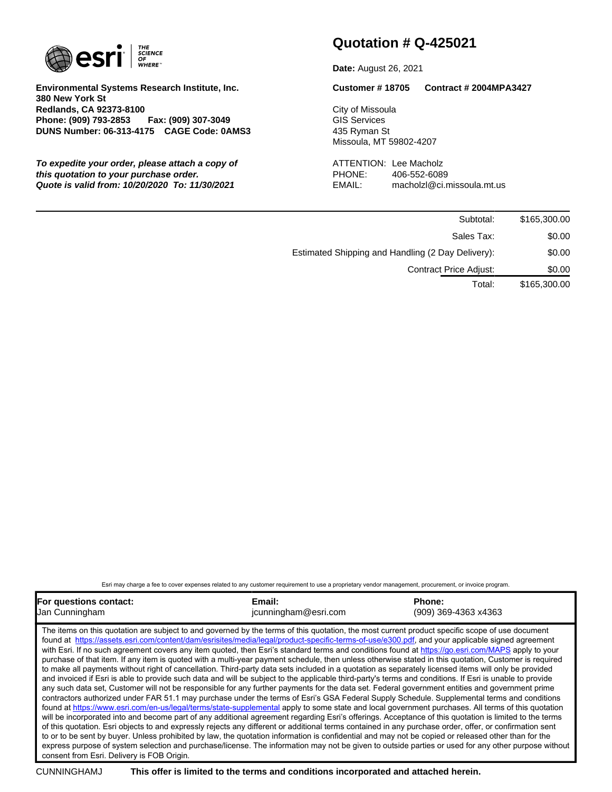

**Environmental Systems Research Institute, Inc. 380 New York St Redlands, CA 92373-8100 Phone: (909) 793-2853 Fax: (909) 307-3049 DUNS Number: 06-313-4175 CAGE Code: 0AMS3**

**To expedite your order, please attach a copy of The COVID-VION: Lee Macholz this quotation to your purchase order.** PHONE: 406-552-6089 **Quote is valid from: 10/20/2020 To: 11/30/2021** EMAIL: macholzl@ci.missoula.mt.us

# **Quotation # Q-425021**

**Date:** August 26, 2021

**Customer # 18705 Contract # 2004MPA3427**

City of Missoula GIS Services 435 Ryman St Missoula, MT 59802-4207

| Subtotal:                                         | \$165,300.00 |
|---------------------------------------------------|--------------|
| Sales Tax:                                        | \$0.00       |
| Estimated Shipping and Handling (2 Day Delivery): | \$0.00       |
| <b>Contract Price Adjust:</b>                     | \$0.00       |
| Total:                                            | \$165,300.00 |

Esri may charge a fee to cover expenses related to any customer requirement to use a proprietary vendor management, procurement, or invoice program.

| For questions contact: | Email:               | Phone:               |
|------------------------|----------------------|----------------------|
| Uan Cunningham         | jcunningham@esri.com | (909) 369-4363 x4363 |

The items on this quotation are subject to and governed by the terms of this quotation, the most current product specific scope of use document found at https://assets.esri.com/content/dam/esrisites/media/legal/product-specific-terms-of-use/e300.pdf, and your applicable signed agreement with Esri. If no such agreement covers any item quoted, then Esri's standard terms and conditions found at https://go.esri.com/MAPS apply to your purchase of that item. If any item is quoted with a multi-year payment schedule, then unless otherwise stated in this quotation, Customer is required to make all payments without right of cancellation. Third-party data sets included in a quotation as separately licensed items will only be provided and invoiced if Esri is able to provide such data and will be subject to the applicable third-party's terms and conditions. If Esri is unable to provide any such data set, Customer will not be responsible for any further payments for the data set. Federal government entities and government prime contractors authorized under FAR 51.1 may purchase under the terms of Esri's GSA Federal Supply Schedule. Supplemental terms and conditions found at https://www.esri.com/en-us/legal/terms/state-supplemental apply to some state and local government purchases. All terms of this quotation will be incorporated into and become part of any additional agreement regarding Esri's offerings. Acceptance of this quotation is limited to the terms of this quotation. Esri objects to and expressly rejects any different or additional terms contained in any purchase order, offer, or confirmation sent to or to be sent by buyer. Unless prohibited by law, the quotation information is confidential and may not be copied or released other than for the express purpose of system selection and purchase/license. The information may not be given to outside parties or used for any other purpose without consent from Esri. Delivery is FOB Origin.

CUNNINGHAMJ **This offer is limited to the terms and conditions incorporated and attached herein.**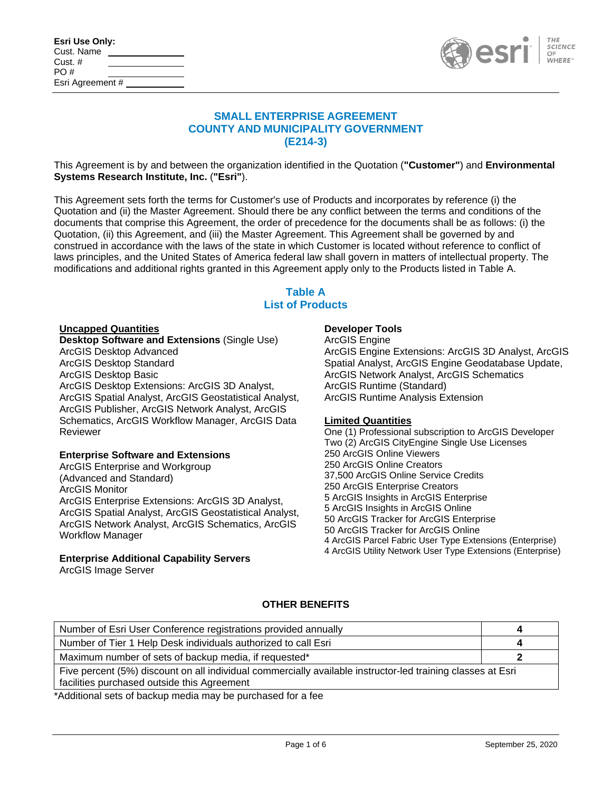| Esri Use Only:   |  |
|------------------|--|
| Cust. Name       |  |
| Cust. $#$        |  |
| PO#              |  |
| Esri Agreement # |  |



### **SMALL ENTERPRISE AGREEMENT COUNTY AND MUNICIPALITY GOVERNMENT (E214-3)**

This Agreement is by and between the organization identified in the Quotation (**"Customer"**) and **Environmental Systems Research Institute, Inc.** (**"Esri"**).

This Agreement sets forth the terms for Customer's use of Products and incorporates by reference (i) the Quotation and (ii) the Master Agreement. Should there be any conflict between the terms and conditions of the documents that comprise this Agreement, the order of precedence for the documents shall be as follows: (i) the Quotation, (ii) this Agreement, and (iii) the Master Agreement. This Agreement shall be governed by and construed in accordance with the laws of the state in which Customer is located without reference to conflict of laws principles, and the United States of America federal law shall govern in matters of intellectual property. The modifications and additional rights granted in this Agreement apply only to the Products listed in Table A.

# **Table A List of Products**

#### **Uncapped Quantities**

**Desktop Software and Extensions** (Single Use) ArcGIS Desktop Advanced ArcGIS Desktop Standard ArcGIS Desktop Basic ArcGIS Desktop Extensions: ArcGIS 3D Analyst, ArcGIS Spatial Analyst, ArcGIS Geostatistical Analyst, ArcGIS Publisher, ArcGIS Network Analyst, ArcGIS Schematics, ArcGIS Workflow Manager, ArcGIS Data Reviewer

#### **Enterprise Software and Extensions**

ArcGIS Enterprise and Workgroup (Advanced and Standard) ArcGIS Monitor ArcGIS Enterprise Extensions: ArcGIS 3D Analyst, ArcGIS Spatial Analyst, ArcGIS Geostatistical Analyst, ArcGIS Network Analyst, ArcGIS Schematics, ArcGIS Workflow Manager

#### **Enterprise Additional Capability Servers**

ArcGIS Image Server

#### **Developer Tools**

ArcGIS Engine ArcGIS Engine Extensions: ArcGIS 3D Analyst, ArcGIS Spatial Analyst, ArcGIS Engine Geodatabase Update, ArcGIS Network Analyst, ArcGIS Schematics ArcGIS Runtime (Standard) ArcGIS Runtime Analysis Extension

#### **Limited Quantities**

One (1) Professional subscription to ArcGIS Developer Two (2) ArcGIS CityEngine Single Use Licenses 250 ArcGIS Online Viewers 250 ArcGIS Online Creators 37,500 ArcGIS Online Service Credits 250 ArcGIS Enterprise Creators 5 ArcGIS Insights in ArcGIS Enterprise 5 ArcGIS Insights in ArcGIS Online 50 ArcGIS Tracker for ArcGIS Enterprise 50 ArcGIS Tracker for ArcGIS Online 4 ArcGIS Parcel Fabric User Type Extensions (Enterprise) 4 ArcGIS Utility Network User Type Extensions (Enterprise)

### **OTHER BENEFITS**

| Number of Esri User Conference registrations provided annually                                                                                             | $\epsilon$ |  |
|------------------------------------------------------------------------------------------------------------------------------------------------------------|------------|--|
| Number of Tier 1 Help Desk individuals authorized to call Esri                                                                                             |            |  |
| Maximum number of sets of backup media, if requested*                                                                                                      |            |  |
| Five percent (5%) discount on all individual commercially available instructor-led training classes at Esri<br>facilities purchased outside this Agreement |            |  |

\*Additional sets of backup media may be purchased for a fee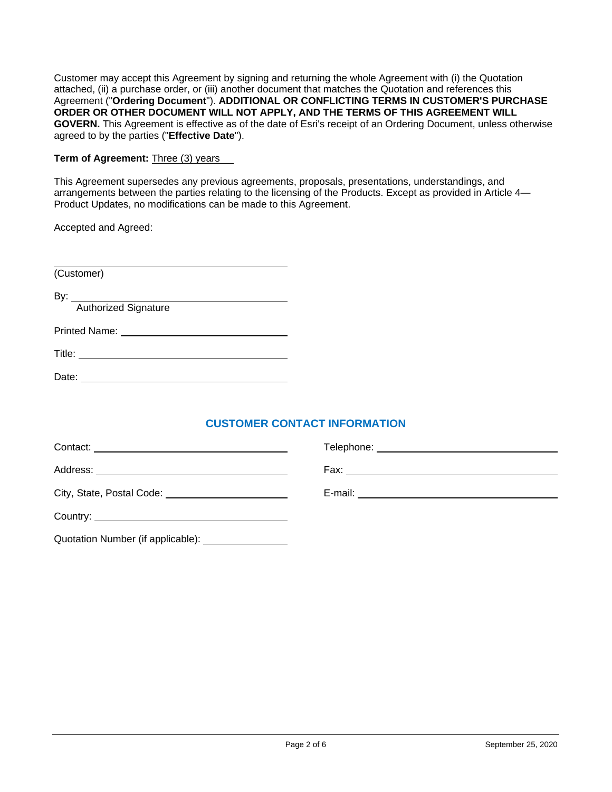Customer may accept this Agreement by signing and returning the whole Agreement with (i) the Quotation attached, (ii) a purchase order, or (iii) another document that matches the Quotation and references this Agreement ("**Ordering Document**"). **ADDITIONAL OR CONFLICTING TERMS IN CUSTOMER'S PURCHASE ORDER OR OTHER DOCUMENT WILL NOT APPLY, AND THE TERMS OF THIS AGREEMENT WILL GOVERN.** This Agreement is effective as of the date of Esri's receipt of an Ordering Document, unless otherwise agreed to by the parties ("**Effective Date**").

**Term of Agreement:** Three (3) years

This Agreement supersedes any previous agreements, proposals, presentations, understandings, and arrangements between the parties relating to the licensing of the Products. Except as provided in Article 4— Product Updates, no modifications can be made to this Agreement.

Accepted and Agreed:

(Customer)

By: Authorized Signature

Printed Name:

Date:

Title:

# **CUSTOMER CONTACT INFORMATION**

| City, State, Postal Code: <u>contained</u>        |  |
|---------------------------------------------------|--|
|                                                   |  |
| Quotation Number (if applicable): _______________ |  |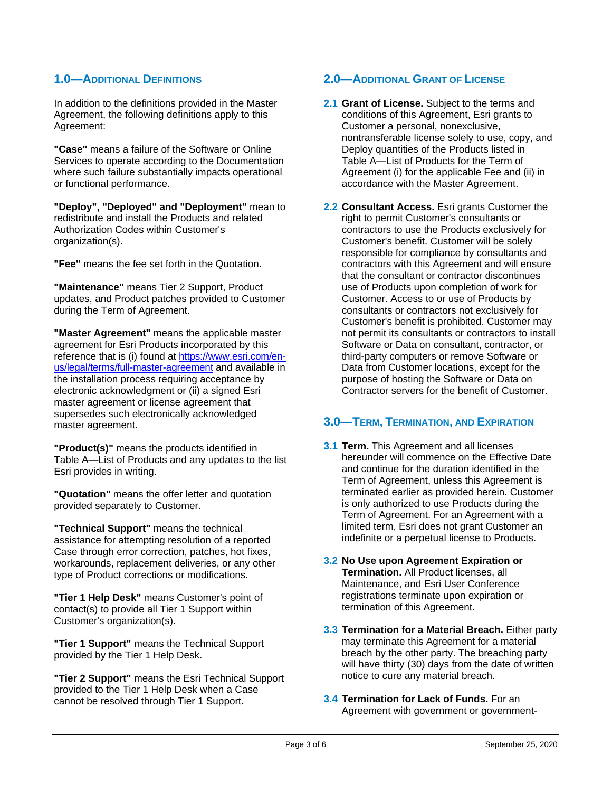# **1.0—ADDITIONAL DEFINITIONS**

In addition to the definitions provided in the Master Agreement, the following definitions apply to this Agreement:

**"Case"** means a failure of the Software or Online Services to operate according to the Documentation where such failure substantially impacts operational or functional performance.

**"Deploy", "Deployed" and "Deployment"** mean to redistribute and install the Products and related Authorization Codes within Customer's organization(s).

**"Fee"** means the fee set forth in the Quotation.

**"Maintenance"** means Tier 2 Support, Product updates, and Product patches provided to Customer during the Term of Agreement.

**"Master Agreement"** means the applicable master agreement for Esri Products incorporated by this reference that is (i) found at https://www.esri.com/enus/legal/terms/full-master-agreement and available in the installation process requiring acceptance by electronic acknowledgment or (ii) a signed Esri master agreement or license agreement that supersedes such electronically acknowledged master agreement.

**"Product(s)"** means the products identified in Table A—List of Products and any updates to the list Esri provides in writing.

**"Quotation"** means the offer letter and quotation provided separately to Customer.

**"Technical Support"** means the technical assistance for attempting resolution of a reported Case through error correction, patches, hot fixes, workarounds, replacement deliveries, or any other type of Product corrections or modifications.

**"Tier 1 Help Desk"** means Customer's point of contact(s) to provide all Tier 1 Support within Customer's organization(s).

**"Tier 1 Support"** means the Technical Support provided by the Tier 1 Help Desk.

**"Tier 2 Support"** means the Esri Technical Support provided to the Tier 1 Help Desk when a Case cannot be resolved through Tier 1 Support.

# **2.0—ADDITIONAL GRANT OF LICENSE**

- **2.1 Grant of License.** Subject to the terms and conditions of this Agreement, Esri grants to Customer a personal, nonexclusive, nontransferable license solely to use, copy, and Deploy quantities of the Products listed in Table A—List of Products for the Term of Agreement (i) for the applicable Fee and (ii) in accordance with the Master Agreement.
- **2.2 Consultant Access.** Esri grants Customer the right to permit Customer's consultants or contractors to use the Products exclusively for Customer's benefit. Customer will be solely responsible for compliance by consultants and contractors with this Agreement and will ensure that the consultant or contractor discontinues use of Products upon completion of work for Customer. Access to or use of Products by consultants or contractors not exclusively for Customer's benefit is prohibited. Customer may not permit its consultants or contractors to install Software or Data on consultant, contractor, or third-party computers or remove Software or Data from Customer locations, except for the purpose of hosting the Software or Data on Contractor servers for the benefit of Customer.

## **3.0—TERM, TERMINATION, AND EXPIRATION**

- **3.1 Term.** This Agreement and all licenses hereunder will commence on the Effective Date and continue for the duration identified in the Term of Agreement, unless this Agreement is terminated earlier as provided herein. Customer is only authorized to use Products during the Term of Agreement. For an Agreement with a limited term, Esri does not grant Customer an indefinite or a perpetual license to Products.
- **3.2 No Use upon Agreement Expiration or Termination.** All Product licenses, all Maintenance, and Esri User Conference registrations terminate upon expiration or termination of this Agreement.
- **3.3 Termination for a Material Breach.** Either party may terminate this Agreement for a material breach by the other party. The breaching party will have thirty (30) days from the date of written notice to cure any material breach.
- **3.4 Termination for Lack of Funds.** For an Agreement with government or government-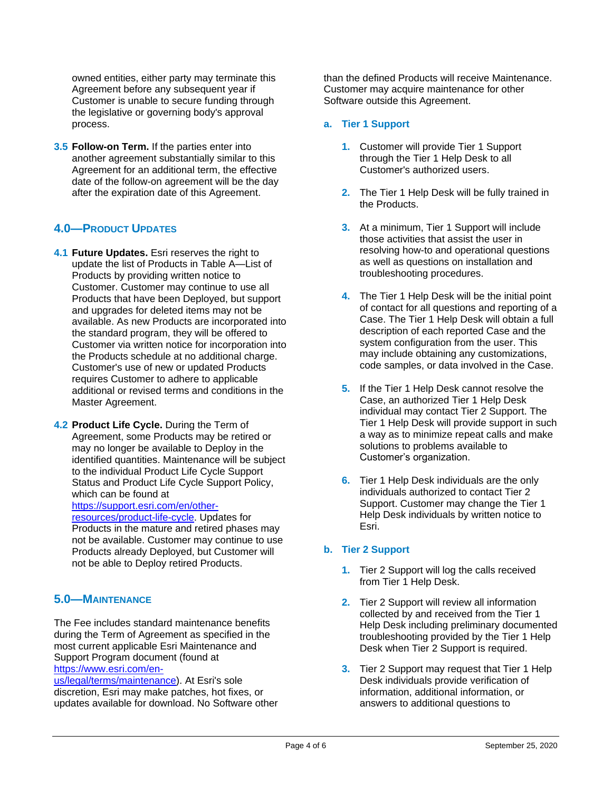owned entities, either party may terminate this Agreement before any subsequent year if Customer is unable to secure funding through the legislative or governing body's approval process.

**3.5 Follow-on Term.** If the parties enter into another agreement substantially similar to this Agreement for an additional term, the effective date of the follow-on agreement will be the day after the expiration date of this Agreement.

# **4.0—PRODUCT UPDATES**

**4.1 Future Updates.** Esri reserves the right to update the list of Products in Table A—List of Products by providing written notice to Customer. Customer may continue to use all Products that have been Deployed, but support and upgrades for deleted items may not be available. As new Products are incorporated into the standard program, they will be offered to Customer via written notice for incorporation into the Products schedule at no additional charge. Customer's use of new or updated Products requires Customer to adhere to applicable additional or revised terms and conditions in the Master Agreement.

**4.2 Product Life Cycle.** During the Term of Agreement, some Products may be retired or may no longer be available to Deploy in the identified quantities. Maintenance will be subject to the individual Product Life Cycle Support Status and Product Life Cycle Support Policy, which can be found at https://support.esri.com/en/other-

resources/product-life-cycle. Updates for Products in the mature and retired phases may not be available. Customer may continue to use Products already Deployed, but Customer will not be able to Deploy retired Products.

## **5.0—MAINTENANCE**

The Fee includes standard maintenance benefits during the Term of Agreement as specified in the most current applicable Esri Maintenance and Support Program document (found at https://www.esri.com/en-

us/legal/terms/maintenance). At Esri's sole discretion, Esri may make patches, hot fixes, or updates available for download. No Software other than the defined Products will receive Maintenance. Customer may acquire maintenance for other Software outside this Agreement.

#### **a. Tier 1 Support**

- **1.** Customer will provide Tier 1 Support through the Tier 1 Help Desk to all Customer's authorized users.
- **2.** The Tier 1 Help Desk will be fully trained in the Products.
- **3.** At a minimum, Tier 1 Support will include those activities that assist the user in resolving how-to and operational questions as well as questions on installation and troubleshooting procedures.
- **4.** The Tier 1 Help Desk will be the initial point of contact for all questions and reporting of a Case. The Tier 1 Help Desk will obtain a full description of each reported Case and the system configuration from the user. This may include obtaining any customizations, code samples, or data involved in the Case.
- **5.** If the Tier 1 Help Desk cannot resolve the Case, an authorized Tier 1 Help Desk individual may contact Tier 2 Support. The Tier 1 Help Desk will provide support in such a way as to minimize repeat calls and make solutions to problems available to Customer's organization.
- **6.** Tier 1 Help Desk individuals are the only individuals authorized to contact Tier 2 Support. Customer may change the Tier 1 Help Desk individuals by written notice to Esri.

### **b. Tier 2 Support**

- **1.** Tier 2 Support will log the calls received from Tier 1 Help Desk.
- **2.** Tier 2 Support will review all information collected by and received from the Tier 1 Help Desk including preliminary documented troubleshooting provided by the Tier 1 Help Desk when Tier 2 Support is required.
- **3.** Tier 2 Support may request that Tier 1 Help Desk individuals provide verification of information, additional information, or answers to additional questions to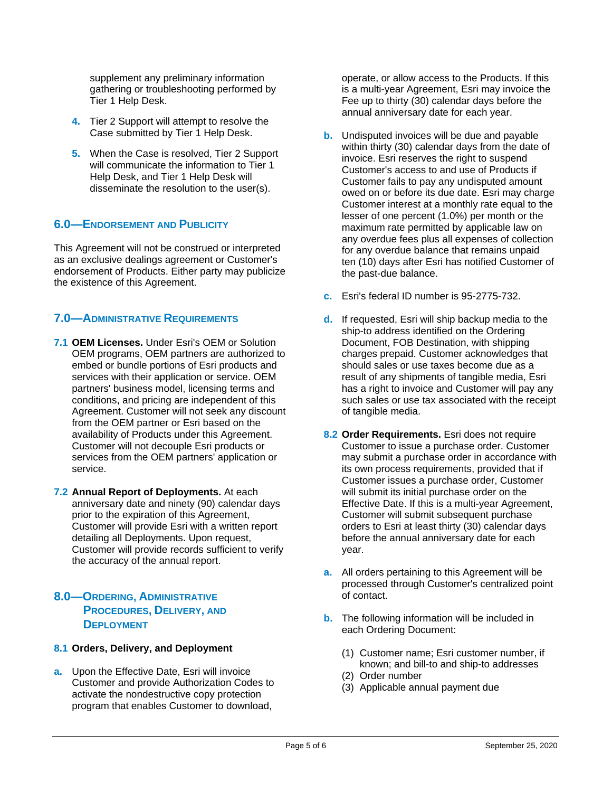supplement any preliminary information gathering or troubleshooting performed by Tier 1 Help Desk.

- **4.** Tier 2 Support will attempt to resolve the Case submitted by Tier 1 Help Desk.
- **5.** When the Case is resolved, Tier 2 Support will communicate the information to Tier 1 Help Desk, and Tier 1 Help Desk will disseminate the resolution to the user(s).

## **6.0—ENDORSEMENT AND PUBLICITY**

This Agreement will not be construed or interpreted as an exclusive dealings agreement or Customer's endorsement of Products. Either party may publicize the existence of this Agreement.

## **7.0—ADMINISTRATIVE REQUIREMENTS**

- **7.1 OEM Licenses.** Under Esri's OEM or Solution OEM programs, OEM partners are authorized to embed or bundle portions of Esri products and services with their application or service. OEM partners' business model, licensing terms and conditions, and pricing are independent of this Agreement. Customer will not seek any discount from the OEM partner or Esri based on the availability of Products under this Agreement. Customer will not decouple Esri products or services from the OEM partners' application or service.
- **7.2 Annual Report of Deployments.** At each anniversary date and ninety (90) calendar days prior to the expiration of this Agreement, Customer will provide Esri with a written report detailing all Deployments. Upon request, Customer will provide records sufficient to verify the accuracy of the annual report.
- **8.0—ORDERING, ADMINISTRATIVE PROCEDURES, DELIVERY, AND DEPLOYMENT**

### **8.1 Orders, Delivery, and Deployment**

**a.** Upon the Effective Date, Esri will invoice Customer and provide Authorization Codes to activate the nondestructive copy protection program that enables Customer to download,

operate, or allow access to the Products. If this is a multi-year Agreement, Esri may invoice the Fee up to thirty (30) calendar days before the annual anniversary date for each year.

- **b.** Undisputed invoices will be due and payable within thirty (30) calendar days from the date of invoice. Esri reserves the right to suspend Customer's access to and use of Products if Customer fails to pay any undisputed amount owed on or before its due date. Esri may charge Customer interest at a monthly rate equal to the lesser of one percent (1.0%) per month or the maximum rate permitted by applicable law on any overdue fees plus all expenses of collection for any overdue balance that remains unpaid ten (10) days after Esri has notified Customer of the past-due balance.
- **c.** Esri's federal ID number is 95-2775-732.
- **d.** If requested, Esri will ship backup media to the ship-to address identified on the Ordering Document, FOB Destination, with shipping charges prepaid. Customer acknowledges that should sales or use taxes become due as a result of any shipments of tangible media, Esri has a right to invoice and Customer will pay any such sales or use tax associated with the receipt of tangible media.
- 8.2 Order Requirements. Esri does not require Customer to issue a purchase order. Customer may submit a purchase order in accordance with its own process requirements, provided that if Customer issues a purchase order, Customer will submit its initial purchase order on the Effective Date. If this is a multi-year Agreement, Customer will submit subsequent purchase orders to Esri at least thirty (30) calendar days before the annual anniversary date for each year.
- **a.** All orders pertaining to this Agreement will be processed through Customer's centralized point of contact.
- **b.** The following information will be included in each Ordering Document:
	- (1) Customer name; Esri customer number, if known; and bill-to and ship-to addresses
	- (2) Order number
	- (3) Applicable annual payment due